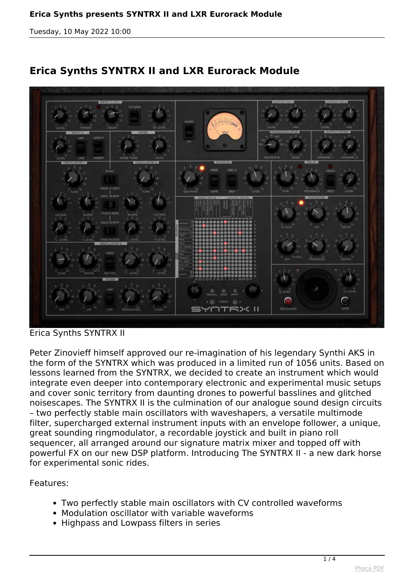*Tuesday, 10 May 2022 10:00*



## **Erica Synths SYNTRX II and LXR Eurorack Module**

*Erica Synths SYNTRX II*

*Peter Zinovieff himself approved our re-imagination of his legendary Synthi AKS in the form of the SYNTRX which was produced in a limited run of 1056 units. Based on lessons learned from the SYNTRX, we decided to create an instrument which would integrate even deeper into contemporary electronic and experimental music setups and cover sonic territory from daunting drones to powerful basslines and glitched noisescapes. The SYNTRX II is the culmination of our analogue sound design circuits – two perfectly stable main oscillators with waveshapers, a versatile multimode filter, supercharged external instrument inputs with an envelope follower, a unique, great sounding ringmodulator, a recordable joystick and built in piano roll sequencer, all arranged around our signature matrix mixer and topped off with powerful FX on our new DSP platform. Introducing The SYNTRX II - a new dark horse for experimental sonic rides.*

*Features:*

- *Two perfectly stable main oscillators with CV controlled waveforms*
- *Modulation oscillator with variable waveforms*
- *Highpass and Lowpass filters in series*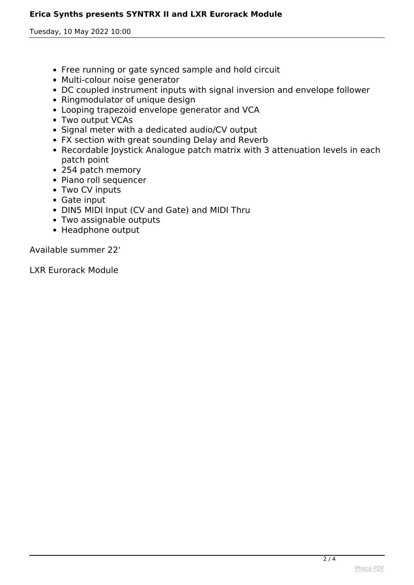## **Erica Synths presents SYNTRX II and LXR Eurorack Module**

*Tuesday, 10 May 2022 10:00*

- *Free running or gate synced sample and hold circuit*
- *Multi-colour noise generator*
- *DC coupled instrument inputs with signal inversion and envelope follower*
- *Ringmodulator of unique design*
- *Looping trapezoid envelope generator and VCA*
- *Two output VCAs*
- *Signal meter with a dedicated audio/CV output*
- *FX section with great sounding Delay and Reverb*
- *Recordable Joystick Analogue patch matrix with 3 attenuation levels in each patch point*
- *254 patch memory*
- *Piano roll sequencer*
- *Two CV inputs*
- *Gate input*
- *DIN5 MIDI Input (CV and Gate) and MIDI Thru*
- *Two assignable outputs*
- *Headphone output*

*Available summer 22'*

*LXR Eurorack Module*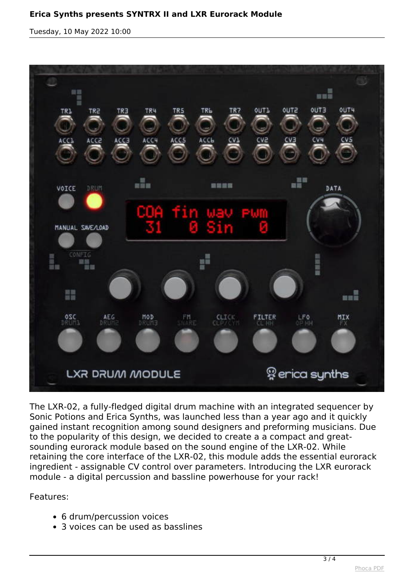*Tuesday, 10 May 2022 10:00*



*The LXR-02, a fully-fledged digital drum machine with an integrated sequencer by Sonic Potions and Erica Synths, was launched less than a year ago and it quickly gained instant recognition among sound designers and preforming musicians. Due to the popularity of this design, we decided to create a a compact and greatsounding eurorack module based on the sound engine of the LXR-02. While retaining the core interface of the LXR-02, this module adds the essential eurorack ingredient - assignable CV control over parameters. Introducing the LXR eurorack module - a digital percussion and bassline powerhouse for your rack!*

*Features:*

- *6 drum/percussion voices*
- *3 voices can be used as basslines*